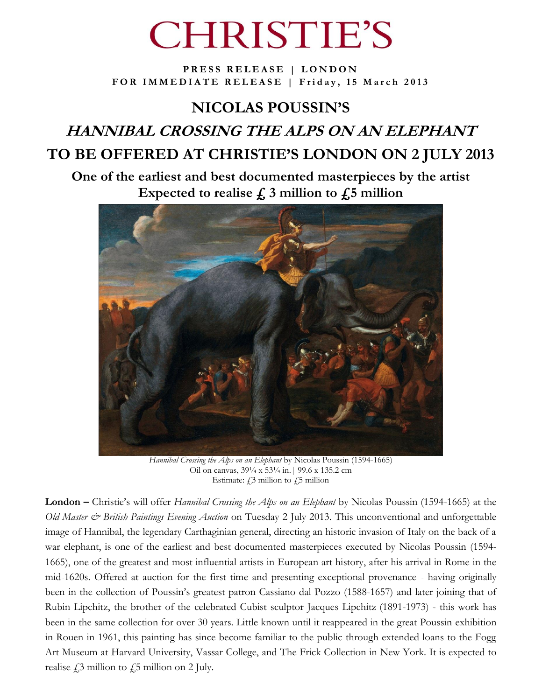# **CHRISTIE'S**

**PRESS RELEASE | LONDON** FOR IMMEDIATE RELEASE | Friday, 15 March 2013

## **NICOLAS POUSSIN'S HANNIBAL CROSSING THE ALPS ON AN ELEPHANT TO BE OFFERED AT CHRISTIE'S LONDON ON 2 JULY 2013**

**One of the earliest and best documented masterpieces by the artist** Expected to realise  $\boldsymbol{\xi}$ , 3 million to  $\boldsymbol{\xi}$ , 5 million



*Hannibal Crossing the Alps on an Elephant* by Nicolas Poussin (1594-1665) Oil on canvas, 39¼ x 53¼ in.| 99.6 x 135.2 cm Estimate:  $f_{1,3}$  million to  $f_{1,5}$  million

**London –** Christie"s will offer *Hannibal Crossing the Alps on an Elephant* by Nicolas Poussin (1594-1665) at the *Old Master & British Paintings Evening Auction* on Tuesday 2 July 2013. This unconventional and unforgettable image of Hannibal, the legendary Carthaginian general, directing an historic invasion of Italy on the back of a war elephant, is one of the earliest and best documented masterpieces executed by Nicolas Poussin (1594- 1665), one of the greatest and most influential artists in European art history, after his arrival in Rome in the mid-1620s. Offered at auction for the first time and presenting exceptional provenance - having originally been in the collection of Poussin"s greatest patron Cassiano dal Pozzo (1588-1657) and later joining that of Rubin Lipchitz, the brother of the celebrated Cubist sculptor Jacques Lipchitz (1891-1973) - this work has been in the same collection for over 30 years. Little known until it reappeared in the great Poussin exhibition in Rouen in 1961, this painting has since become familiar to the public through extended loans to the Fogg Art Museum at Harvard University, Vassar College, and The Frick Collection in New York. It is expected to realise  $\hat{E}$  million to  $\hat{E}$  million on 2 July.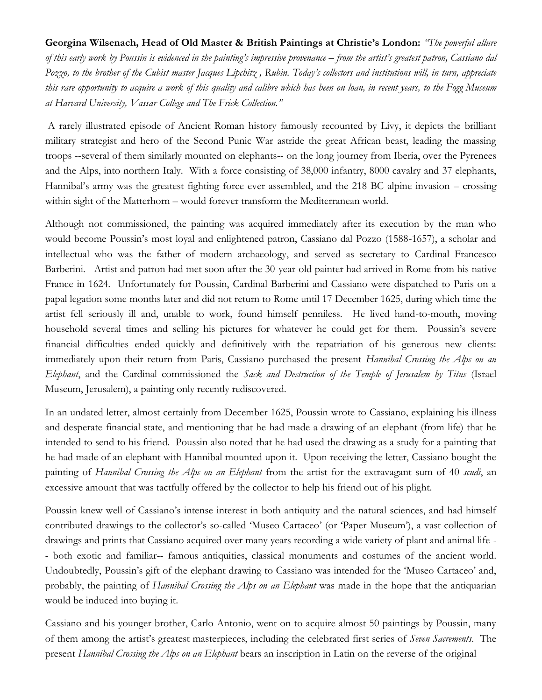### **Georgina Wilsenach, Head of Old Master & British Paintings at Christie's London:** *"The powerful allure of this early work by Poussin is evidenced in the painting's impressive provenance – from the artist's greatest patron, Cassiano dal Pozzo, to the brother of the Cubist master Jacques Lipchitz , Rubin. Today's collectors and institutions will, in turn, appreciate this rare opportunity to acquire a work of this quality and calibre which has been on loan, in recent years, to the Fogg Museum at Harvard University, Vassar College and The Frick Collection."*

A rarely illustrated episode of Ancient Roman history famously recounted by Livy, it depicts the brilliant military strategist and hero of the Second Punic War astride the great African beast, leading the massing troops --several of them similarly mounted on elephants-- on the long journey from Iberia, over the Pyrenees and the Alps, into northern Italy. With a force consisting of 38,000 infantry, 8000 cavalry and 37 elephants, Hannibal's army was the greatest fighting force ever assembled, and the 218 BC alpine invasion – crossing within sight of the Matterhorn – would forever transform the Mediterranean world.

Although not commissioned, the painting was acquired immediately after its execution by the man who would become Poussin"s most loyal and enlightened patron, Cassiano dal Pozzo (1588-1657), a scholar and intellectual who was the father of modern archaeology, and served as secretary to Cardinal Francesco Barberini. Artist and patron had met soon after the 30-year-old painter had arrived in Rome from his native France in 1624. Unfortunately for Poussin, Cardinal Barberini and Cassiano were dispatched to Paris on a papal legation some months later and did not return to Rome until 17 December 1625, during which time the artist fell seriously ill and, unable to work, found himself penniless. He lived hand-to-mouth, moving household several times and selling his pictures for whatever he could get for them. Poussin's severe financial difficulties ended quickly and definitively with the repatriation of his generous new clients: immediately upon their return from Paris, Cassiano purchased the present *Hannibal Crossing the Alps on an Elephant*, and the Cardinal commissioned the *Sack and Destruction of the Temple of Jerusalem by Titus* (Israel Museum, Jerusalem), a painting only recently rediscovered.

In an undated letter, almost certainly from December 1625, Poussin wrote to Cassiano, explaining his illness and desperate financial state, and mentioning that he had made a drawing of an elephant (from life) that he intended to send to his friend. Poussin also noted that he had used the drawing as a study for a painting that he had made of an elephant with Hannibal mounted upon it. Upon receiving the letter, Cassiano bought the painting of *Hannibal Crossing the Alps on an Elephant* from the artist for the extravagant sum of 40 *scudi*, an excessive amount that was tactfully offered by the collector to help his friend out of his plight.

Poussin knew well of Cassiano's intense interest in both antiquity and the natural sciences, and had himself contributed drawings to the collector's so-called 'Museo Cartaceo' (or 'Paper Museum'), a vast collection of drawings and prints that Cassiano acquired over many years recording a wide variety of plant and animal life - - both exotic and familiar-- famous antiquities, classical monuments and costumes of the ancient world. Undoubtedly, Poussin's gift of the elephant drawing to Cassiano was intended for the 'Museo Cartaceo' and, probably, the painting of *Hannibal Crossing the Alps on an Elephant* was made in the hope that the antiquarian would be induced into buying it.

Cassiano and his younger brother, Carlo Antonio, went on to acquire almost 50 paintings by Poussin, many of them among the artist"s greatest masterpieces, including the celebrated first series of *Seven Sacrements*. The present *Hannibal Crossing the Alps on an Elephant* bears an inscription in Latin on the reverse of the original